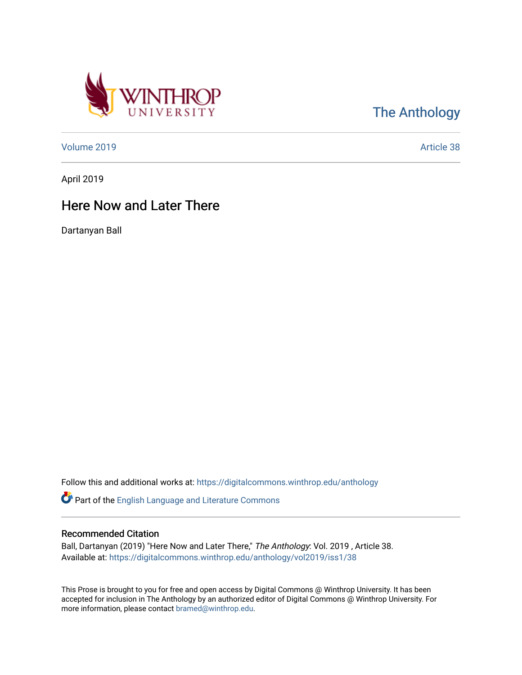

[The Anthology](https://digitalcommons.winthrop.edu/anthology) 

[Volume 2019](https://digitalcommons.winthrop.edu/anthology/vol2019) [Article 38](https://digitalcommons.winthrop.edu/anthology/vol2019/iss1/38) 

April 2019

## Here Now and Later There

Dartanyan Ball

Follow this and additional works at: [https://digitalcommons.winthrop.edu/anthology](https://digitalcommons.winthrop.edu/anthology?utm_source=digitalcommons.winthrop.edu%2Fanthology%2Fvol2019%2Fiss1%2F38&utm_medium=PDF&utm_campaign=PDFCoverPages) 

Part of the [English Language and Literature Commons](http://network.bepress.com/hgg/discipline/455?utm_source=digitalcommons.winthrop.edu%2Fanthology%2Fvol2019%2Fiss1%2F38&utm_medium=PDF&utm_campaign=PDFCoverPages)

## Recommended Citation

Ball, Dartanyan (2019) "Here Now and Later There," The Anthology: Vol. 2019 , Article 38. Available at: [https://digitalcommons.winthrop.edu/anthology/vol2019/iss1/38](https://digitalcommons.winthrop.edu/anthology/vol2019/iss1/38?utm_source=digitalcommons.winthrop.edu%2Fanthology%2Fvol2019%2Fiss1%2F38&utm_medium=PDF&utm_campaign=PDFCoverPages) 

This Prose is brought to you for free and open access by Digital Commons @ Winthrop University. It has been accepted for inclusion in The Anthology by an authorized editor of Digital Commons @ Winthrop University. For more information, please contact [bramed@winthrop.edu](mailto:bramed@winthrop.edu).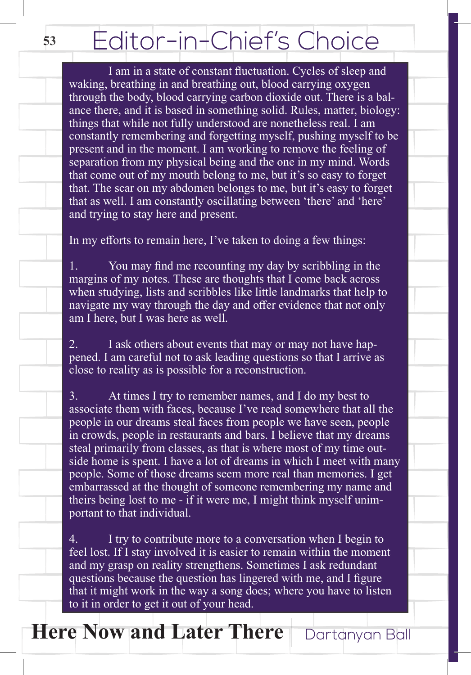## Editor-in-Chief's Choice

 I am in a state of constant fluctuation. Cycles of sleep and waking, breathing in and breathing out, blood carrying oxygen through the body, blood carrying carbon dioxide out. There is a balance there, and it is based in something solid. Rules, matter, biology: things that while not fully understood are nonetheless real. I am constantly remembering and forgetting myself, pushing myself to be present and in the moment. I am working to remove the feeling of separation from my physical being and the one in my mind. Words that come out of my mouth belong to me, but it's so easy to forget that. The scar on my abdomen belongs to me, but it's easy to forget that as well. I am constantly oscillating between 'there' and 'here' and trying to stay here and present.

In my efforts to remain here, I've taken to doing a few things:

1. You may find me recounting my day by scribbling in the margins of my notes. These are thoughts that I come back across when studying, lists and scribbles like little landmarks that help to navigate my way through the day and offer evidence that not only am I here, but I was here as well.

2. I ask others about events that may or may not have happened. I am careful not to ask leading questions so that I arrive as close to reality as is possible for a reconstruction.

3. At times I try to remember names, and I do my best to associate them with faces, because I've read somewhere that all the people in our dreams steal faces from people we have seen, people in crowds, people in restaurants and bars. I believe that my dreams steal primarily from classes, as that is where most of my time outside home is spent. I have a lot of dreams in which I meet with many people. Some of those dreams seem more real than memories. I get embarrassed at the thought of someone remembering my name and theirs being lost to me - if it were me, I might think myself unimportant to that individual.

4. I try to contribute more to a conversation when I begin to feel lost. If I stay involved it is easier to remain within the moment and my grasp on reality strengthens. Sometimes I ask redundant questions because the question has lingered with me, and I figure that it might work in the way a song does; where you have to listen to it in order to get it out of your head.

**Here Now and Later There** Dartanyan Ball

**53**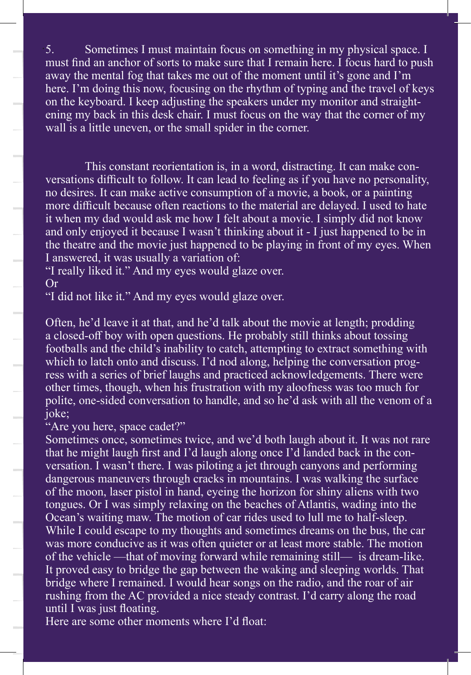5. Sometimes I must maintain focus on something in my physical space. I 5. must find an anchor of sorts to make sure that I remain here. I focus hard to push away the mental fog that takes me out of the moment until it's gone and I'm here. I'm doing this now, focusing on the rhythm of typing and the travel of keys on the keyboard. I keep adjusting the speakers under my monitor and straightening my back in this desk chair. I must focus on the way that the corner of my wall is a little uneven, or the small spider in the corner.

This constant reorientation is, in a word, distracting. It can make conversations difficult to follow. It can lead to feeling as if you have no personality, no desires. It can make active consumption of a movie, a book, or a painting more difficult because often reactions to the material are delayed. I used to hate it when my dad would ask me how I felt about a movie. I simply did not know and only enjoyed it because  $I$  wasn't thinking about it - I just happened to be in the theatre and the movie just happened to be playing in front of my eyes. When I answered, it was usually a variation of:

"I really liked it." And my eyes would glaze over. Or

"I did not like it." And my eyes would glaze over.

Often, he'd leave it at that, and he'd talk about the movie at length; prodding a closed-off boy with open questions. He probably still thinks about tossing footballs and the child's inability to catch, attempting to extract something with which to latch onto and discuss. I'd nod along, helping the conversation progress with a series of brief laughs and practiced acknowledgements. There were other times, though, when his frustration with my aloofness was too much for polite, one-sided conversation to handle, and so he'd ask with all the venom of a joke;

## "Are you here, space cadet?"

Sometimes once, sometimes twice, and we'd both laugh about it. It was not rare that he might laugh first and I'd laugh along once I'd landed back in the conversation. I wasn't there. I was piloting a jet through canyons and performing dangerous maneuvers through cracks in mountains. I was walking the surface of the moon, laser pistol in hand, eyeing the horizon for shiny aliens with two tongues. Or I was simply relaxing on the beaches of Atlantis, wading into the Ocean's waiting maw. The motion of car rides used to lull me to half-sleep. While I could escape to my thoughts and sometimes dreams on the bus, the car was more conducive as it was often quieter or at least more stable. The motion of the vehicle —that of moving forward while remaining still— is dream-like. It proved easy to bridge the gap between the waking and sleeping worlds. That bridge where I remained. I would hear songs on the radio, and the roar of air rushing from the AC provided a nice steady contrast. I'd carry along the road until I was just floating.

Here are some other moments where I'd float: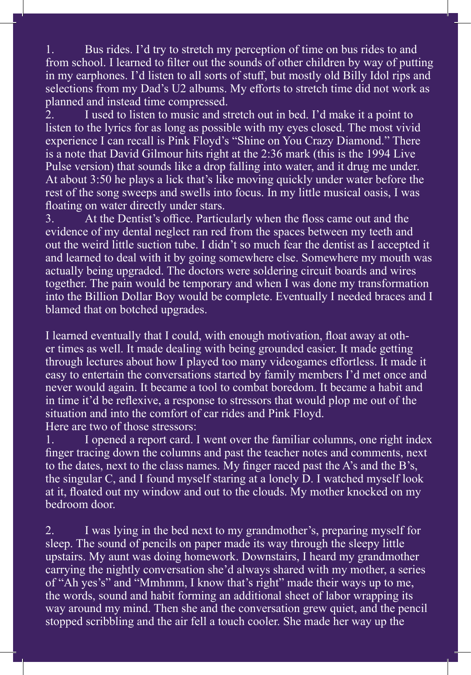**555**1. Bus rides. I'd try to stretch my perception of time on bus rides to and from school. I learned to filter out the sounds of other children by way of putting in my earphones. I'd listen to all sorts of stuff, but mostly old Billy Idol rips and selections from my Dad's U2 albums. My efforts to stretch time did not work as planned and instead time compressed.

2. I used to listen to music and stretch out in bed. I'd make it a point to listen to the lyrics for as long as possible with my eyes closed. The most vivid experience I can recall is Pink Floyd's "Shine on You Crazy Diamond." There is a note that David Gilmour hits right at the 2:36 mark (this is the 1994 Live Pulse version) that sounds like a drop falling into water, and it drug me under. At about 3:50 he plays a lick that's like moving quickly under water before the rest of the song sweeps and swells into focus. In my little musical oasis, I was floating on water directly under stars.

3. At the Dentist's office. Particularly when the floss came out and the evidence of my dental neglect ran red from the spaces between my teeth and out the weird little suction tube. I didn't so much fear the dentist as I accepted it and learned to deal with it by going somewhere else. Somewhere my mouth was actually being upgraded. The doctors were soldering circuit boards and wires together. The pain would be temporary and when I was done my transformation into the Billion Dollar Boy would be complete. Eventually I needed braces and I blamed that on botched upgrades.

I learned eventually that I could, with enough motivation, float away at other times as well. It made dealing with being grounded easier. It made getting through lectures about how I played too many videogames effortless. It made it easy to entertain the conversations started by family members I'd met once and never would again. It became a tool to combat boredom. It became a habit and in time it'd be reflexive, a response to stressors that would plop me out of the situation and into the comfort of car rides and Pink Floyd. Here are two of those stressors:

1. I opened a report card. I went over the familiar columns, one right index finger tracing down the columns and past the teacher notes and comments, next to the dates, next to the class names. My finger raced past the A's and the B's, the singular C, and I found myself staring at a lonely D. I watched myself look at it, floated out my window and out to the clouds. My mother knocked on my bedroom door.

2. I was lying in the bed next to my grandmother's, preparing myself for sleep. The sound of pencils on paper made its way through the sleepy little upstairs. My aunt was doing homework. Downstairs, I heard my grandmother carrying the nightly conversation she'd always shared with my mother, a series of "Ah yes's" and "Mmhmm, I know that's right" made their ways up to me, the words, sound and habit forming an additional sheet of labor wrapping its way around my mind. Then she and the conversation grew quiet, and the pencil stopped scribbling and the air fell a touch cooler. She made her way up the